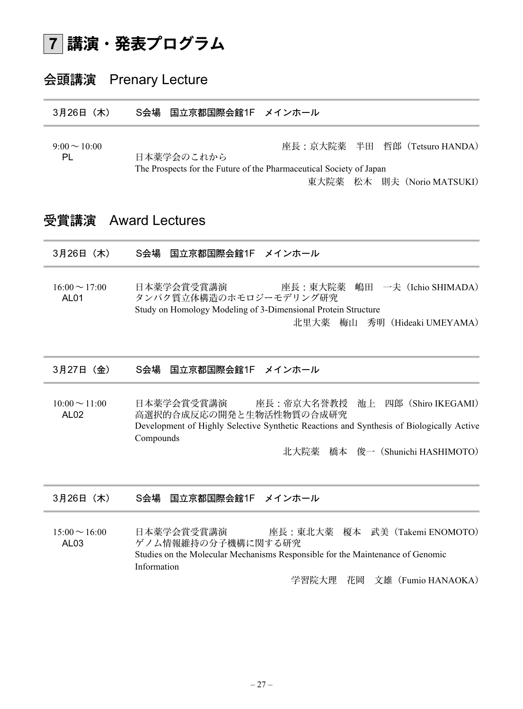#### 講演・発表プログラム 7

# 会頭講演 Prenary Lecture

3月26日(木) S会場 国立京都国際会館1F メインホール

9:00~10:00<br>PL 日本薬学会のこれから 座長:京大院薬 半田 哲郎 (Tetsuro HANDA) 日本薬学会のこれから The Prospects for the Future of the Pharmaceutical Society of Japan 東大院薬 松木 則夫 (Norio MATSUKI)

## 受賞講演 Award Lectures

| 3月26日 (木)                         | 国立京都国際会館1F メインホール<br>S会場                                                                                                                                                                                                      |
|-----------------------------------|-------------------------------------------------------------------------------------------------------------------------------------------------------------------------------------------------------------------------------|
| $16:00 \sim 17:00$<br><b>AL01</b> | 嶋田 一夫 (Ichio SHIMADA)<br>日本薬学会賞受賞講演<br>座長:東大院薬<br>タンパク質立体構造のホモロジーモデリング研究<br>Study on Homology Modeling of 3-Dimensional Protein Structure<br>北里大薬<br>梅山<br>秀明 (Hideaki UMEYAMA)                                               |
| 3月27日 (金)                         | S会場<br>国立京都国際会館1F メインホール                                                                                                                                                                                                      |
| $10:00 \sim 11:00$<br><b>AL02</b> | 日本薬学会賞受賞講演<br>座長:帝京大名誉教授 池上<br>四郎(Shiro IKEGAMI)<br>高選択的合成反応の開発と生物活性物質の合成研究<br>Development of Highly Selective Synthetic Reactions and Synthesis of Biologically Active<br>Compounds<br>俊一 (Shunichi HASHIMOTO)<br>北大院薬<br>橋本 |
| 3月26日 (木)                         | 国立京都国際会館1F メインホール<br>S会場                                                                                                                                                                                                      |
| $15:00 \sim 16:00$<br>AL03        | 日本薬学会賞受賞講演<br>座長:東北大薬 榎本 武美 (Takemi ENOMOTO)<br>ゲノム情報維持の分子機構に関する研究<br>Studies on the Molecular Mechanisms Responsible for the Maintenance of Genomic<br>Information<br>花岡 文雄 (Fumio HANAOKA)<br>学習院大理                         |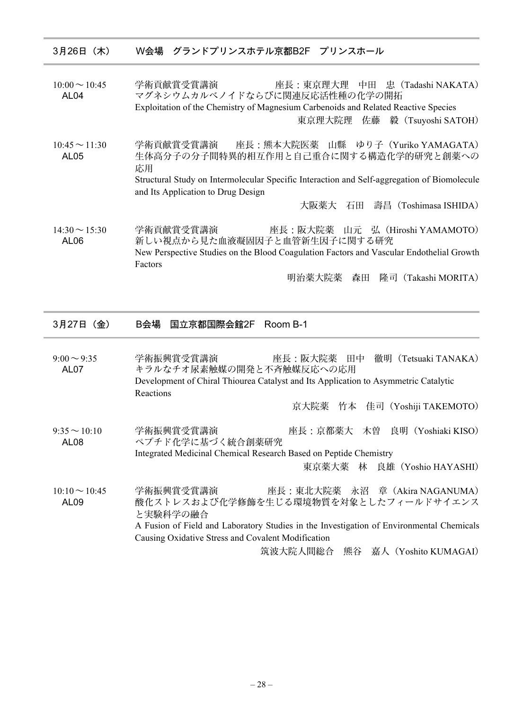| 3月26日 (木) |  | W会場 グランドプリンスホテル京都B2F プリンスホール |  |
|-----------|--|------------------------------|--|
|           |  |                              |  |

10:00~10:45 学術貢献賞受賞講演 座長:東京理大理 中田 忠(Tadashi NAKATA) AL04 マグネシウムカルベノイドならびに関連反応活性種の化学の開拓 Exploitation of the Chemistry of Magnesium Carbenoids and Related Reactive Species 東京理大院理 佐藤 毅(Tsuyoshi SATOH)

10:45~11:30 学術貢献賞受賞講演 座長:熊本大院医薬 山縣 ゆり子(Yuriko YAMAGATA) AL05 生体高分子の分子間特異的相互作用と自己重合に関する構造化学的研究と創薬への 応用 Structural Study on Intermolecular Specific Interaction and Self-aggregation of Biomolecule and Its Application to Drug Design

大阪薬大 石田 壽昌(Toshimasa ISHIDA)

14:30~15:30 学術貢献賞受賞講演 座長:阪大院薬 山元 弘(Hiroshi YAMAMOTO) AL06 新しい視点から見た血液凝固因子と血管新生因子に関する研究 New Perspective Studies on the Blood Coagulation Factors and Vascular Endothelial Growth Factors

明治薬大院薬 森田 隆司(Takashi MORITA)

3月27日(金) B会場 国立京都国際会館2F Room B-1

9:00~9:35 学術振興賞受賞講演 库長:阪大院薬 田中 徹明 (Tetsuaki TANAKA) AL07 キラルなチオ尿素触媒の開発と不斉触媒反応への応用 Development of Chiral Thiourea Catalyst and Its Application to Asymmetric Catalytic Reactions 京大院薬 竹本 佳司(Yoshiji TAKEMOTO)

9:35~10:10 学術振興賞受賞講演 座長:京都薬大 木曽 良明(Yoshiaki KISO) AL08 ペプチド化学に基づく統合創薬研究 Integrated Medicinal Chemical Research Based on Peptide Chemistry

東京薬大薬 林 良雄(Yoshio HAYASHI)

10:10~10:45 学術振興賞受賞講演 座長:東北大院薬 永沼 章(Akira NAGANUMA) AL09 酸化ストレスおよび化学修飾を生じる環境物質を対象としたフィールドサイエンス と実験科学の融合 A Fusion of Field and Laboratory Studies in the Investigation of Environmental Chemicals Causing Oxidative Stress and Covalent Modification

筑波大院人間総合 熊谷 嘉人(Yoshito KUMAGAI)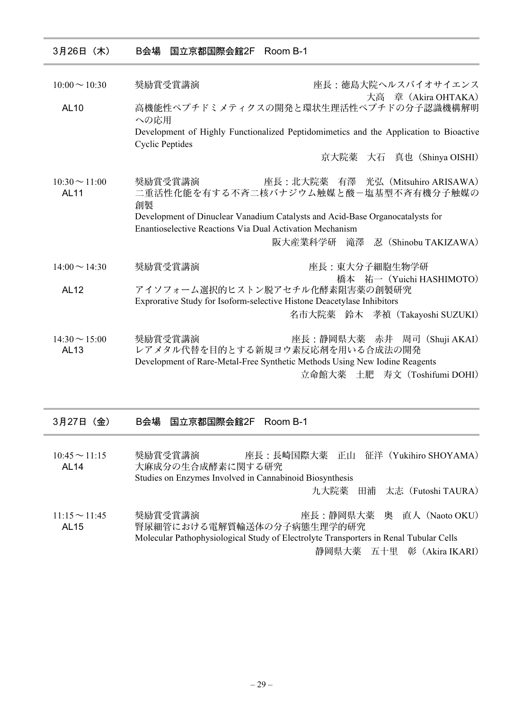| 3月26日 (木)                         | B会場<br>国立京都国際会館2F Room B-1                                                                                                                       |
|-----------------------------------|--------------------------------------------------------------------------------------------------------------------------------------------------|
| $10:00 \sim 10:30$                | 奨励賞受賞講演<br>座長:徳島大院ヘルスバイオサイエンス                                                                                                                    |
| <b>AL10</b>                       | 大高 章 (Akira OHTAKA)<br>高機能性ペプチドミメティクスの開発と環状生理活性ペプチドの分子認識機構解明                                                                                     |
|                                   | への応用<br>Development of Highly Functionalized Peptidomimetics and the Application to Bioactive<br><b>Cyclic Peptides</b>                          |
|                                   | 京大院薬 大石 真也 (Shinya OISHI)                                                                                                                        |
| $10:30 \sim 11:00$<br><b>AL11</b> | 奨励賞受賞講演<br>座長:北大院薬 有澤 光弘 (Mitsuhiro ARISAWA)<br>二重活性化能を有する不斉二核バナジウム触媒と酸-塩基型不斉有機分子触媒の<br>創製                                                       |
|                                   | Development of Dinuclear Vanadium Catalysts and Acid-Base Organocatalysts for<br><b>Enantioselective Reactions Via Dual Activation Mechanism</b> |
|                                   | 阪大産業科学研 滝澤<br>忍 (Shinobu TAKIZAWA)                                                                                                               |
| $14:00 \sim 14:30$                | 奨励賞受賞講演<br>座長:東大分子細胞生物学研<br>橋本 祐一 (Yuichi HASHIMOTO)                                                                                             |
| <b>AL12</b>                       | アイソフォーム選択的ヒストン脱アセチル化酵素阻害薬の創製研究<br>Exprorative Study for Isoform-selective Histone Deacetylase Inhibitors                                         |
|                                   | 名市大院薬 鈴木 孝禎 (Takayoshi SUZUKI)                                                                                                                   |
| $14:30 \sim 15:00$<br>AL13        | 奨励賞受賞講演<br>座長:静岡県大薬<br>赤井 周司(Shuji AKAI)<br>レアメタル代替を目的とする新規ヨウ素反応剤を用いる合成法の開発                                                                      |
|                                   | Development of Rare-Metal-Free Synthetic Methods Using New Iodine Reagents                                                                       |
|                                   | 立命館大薬 土肥<br>寿文 (Toshifumi DOHI)                                                                                                                  |
| 3月27日 (金)                         | B会場<br>Room B-1<br>国立京都国際会館2F                                                                                                                    |
| $10:45 \sim 11:15$<br><b>AL14</b> | 座長:長崎国際大薬 正山<br>征洋 (Yukihiro SHOYAMA)<br>奨励賞受賞講演<br>大麻成分の生合成酵素に関する研究<br>Studies on Enzymes Involved in Cannabinoid Biosynthesis                  |
|                                   | 九大院薬<br>田浦<br>太志 (Futoshi TAURA)                                                                                                                 |
| $11:15 \sim 11:45$<br><b>AL15</b> | 座長:静岡県大薬<br>奥 直人 (Naoto OKU)<br>奨励賞受賞講演<br>腎尿細管における電解質輸送体の分子病態生理学的研究                                                                             |
|                                   | Molecular Pathophysiological Study of Electrolyte Transporters in Renal Tubular Cells                                                            |
|                                   | 静岡県大薬 五十里 彰 (Akira IKARI)                                                                                                                        |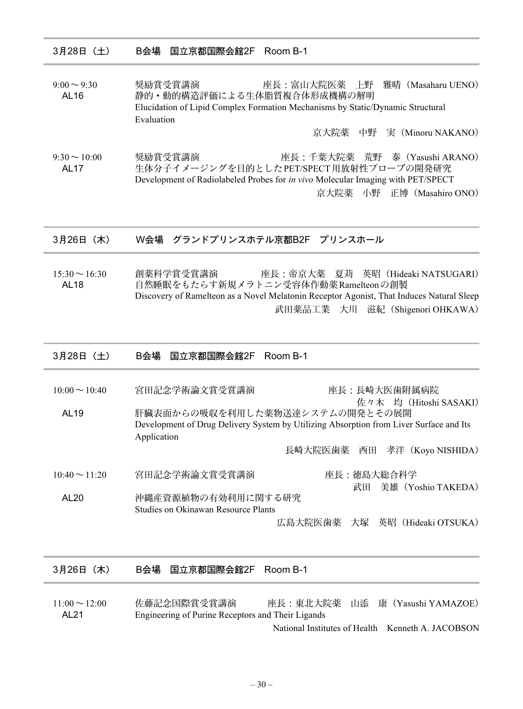3月28日(土) B会場 国立京都国際会館2F Room B-1

9:00~9:30 奨励賞受賞講演 座長:富山大院医薬 上野 雅晴(Masaharu UENO) AL16 静的·動的構造評価による生体脂質複合体形成機構の解明 Elucidation of Lipid Complex Formation Mechanisms by Static/Dynamic Structural Evaluation

京大院薬 中野 実(Minoru NAKANO)

9:30~10:00 奨励賞受賞講演 座長:千葉大院薬 荒野 泰(Yasushi ARANO) AL17 生体分子イメージングを目的とした PET/SPECT 用放射性プローブの開発研究 Development of Radiolabeled Probes for in vivo Molecular Imaging with PET/SPECT 京大院薬 小野 正博(Masahiro ONO)

3月26日(木) W会場 グランドプリンスホテル京都B2F プリンスホール

15:30~16:30 創薬科学賞受賞講演 座長:帝京大薬 夏苅 英昭(Hideaki NATSUGARI) AL18 自然睡眠をもたらす新規メラトニン受容体作動薬 Ramelteonの創製 Discovery of Ramelteon as a Novel Melatonin Receptor Agonist, That Induces Natural Sleep 武田薬品工業 大川 滋紀(Shigenori OHKAWA)

| 3月28日 (土)                              | B会場 国立京都国際会館2F<br>Room B-1                                                                            |
|----------------------------------------|-------------------------------------------------------------------------------------------------------|
| $10:00 \sim 10:40$<br>AL <sub>19</sub> | 宮田記念学術論文賞受賞講演<br>座長:長崎大医歯附属病院<br>佐々木 均 (Hitoshi SASAKI)<br>肝臓表面からの吸収を利用した薬物送達システムの開発とその展開             |
|                                        | Development of Drug Delivery System by Utilizing Absorption from Liver Surface and Its<br>Application |
|                                        | 長崎大院医歯薬 西田<br>孝洋(Koyo NISHIDA)                                                                        |
| $10:40 \sim 11:20$                     | 宮田記念学術論文賞受賞講演<br>座長:徳島大総合科学<br>美雄 (Yoshio TAKEDA)<br>武田                                               |
| AL <sub>20</sub>                       | 沖縄産資源植物の有効利用に関する研究<br>Studies on Okinawan Resource Plants                                             |
|                                        | 大塚 英昭(Hideaki OTSUKA)<br>広島大院医歯薬                                                                      |

| 3月26日(木)                               | B会場 国立京都国際会館2F Room B-1                                          |                                |
|----------------------------------------|------------------------------------------------------------------|--------------------------------|
| $11:00 \sim 12:00$<br>AL <sub>21</sub> | 佐藤記念国際賞受賞講演<br>Engineering of Purine Receptors and Their Ligands | 座長:東北大院薬 山添 康(Yasushi YAMAZOE) |

National Institutes of Health Kenneth A. JACOBSON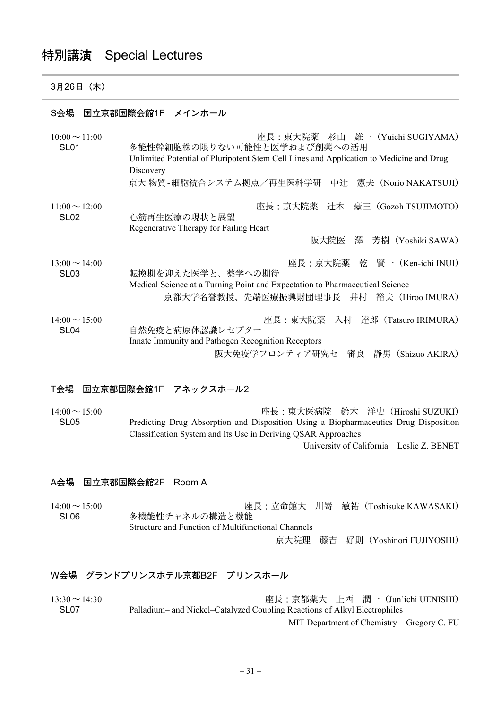# 特別講演 Special Lectures

## 3月26日(木)

## S会場 国立京都国際会館1F メインホール

| $10:00 \sim 11:00$<br>SL <sub>01</sub> | 座長:東大院薬 杉山 雄一(Yuichi SUGIYAMA)<br>多能性幹細胞株の限りない可能性と医学および創薬への活用<br>Unlimited Potential of Pluripotent Stem Cell Lines and Application to Medicine and Drug<br>Discovery |
|----------------------------------------|-----------------------------------------------------------------------------------------------------------------------------------------------------------------------|
|                                        | 京大物質-細胞統合システム拠点/再生医科学研 中辻 憲夫 (Norio NAKATSUJI)                                                                                                                        |
| $11:00 \sim 12:00$<br><b>SL02</b>      | 座長:京大院薬 辻本 豪三 (Gozoh TSUJIMOTO)<br>心筋再生医療の現状と展望<br>Regenerative Therapy for Failing Heart                                                                             |
|                                        | 阪大院医 澤 芳樹(Yoshiki SAWA)                                                                                                                                               |
|                                        |                                                                                                                                                                       |
| $13:00 \sim 14:00$<br><b>SL03</b>      | 座長:京大院薬 乾 賢一 (Ken-ichi INUI)<br>転換期を迎えた医学と、薬学への期待<br>Medical Science at a Turning Point and Expectation to Pharmaceutical Science                                     |
|                                        | 京都大学名誉教授、先端医療振興財団理事長 井村 裕夫(Hiroo IMURA)                                                                                                                               |
| $14:00 \sim 15:00$<br>SL <sub>04</sub> | 座長:東大院薬 入村 達郎(Tatsuro IRIMURA)<br>自然免疫と病原体認識レセプター                                                                                                                     |
|                                        | Innate Immunity and Pathogen Recognition Receptors                                                                                                                    |
|                                        | 阪大免疫学フロンティア研究セ<br>審良 静男 (Shizuo AKIRA)                                                                                                                                |

## T会場 国立京都国際会館1F アネックスホール2

| $14:00 \sim 15:00$ | 座長:東大医病院 鈴木 洋史 (Hiroshi SUZUKI)                                                      |
|--------------------|--------------------------------------------------------------------------------------|
| SL <sub>05</sub>   | Predicting Drug Absorption and Disposition Using a Biopharmaceutics Drug Disposition |
|                    | Classification System and Its Use in Deriving QSAR Approaches                        |
|                    | University of California Leslie Z. BENET                                             |

#### A会場 国立京都国際会館2F Room A

| $14:00 \sim 15:00$<br>SL <sub>06</sub> | 多機能性チャネルの構造と機能                                     |  | 座長:立命館大 川嵜 敏祐 (Toshisuke KAWASAKI) |
|----------------------------------------|----------------------------------------------------|--|------------------------------------|
|                                        | Structure and Function of Multifunctional Channels |  |                                    |
|                                        |                                                    |  | 京大院理 藤吉 好則 (Yoshinori FUJIYOSHI)   |

## W会場 グランドプリンスホテル京都B2F プリンスホール

13:30~14:30 座長:京都薬大 上西 潤一(Jun'ichi UENISHI) SL07 Palladium– and Nickel–Catalyzed Coupling Reactions of Alkyl Electrophiles MIT Department of Chemistry Gregory C. FU

 $-31-$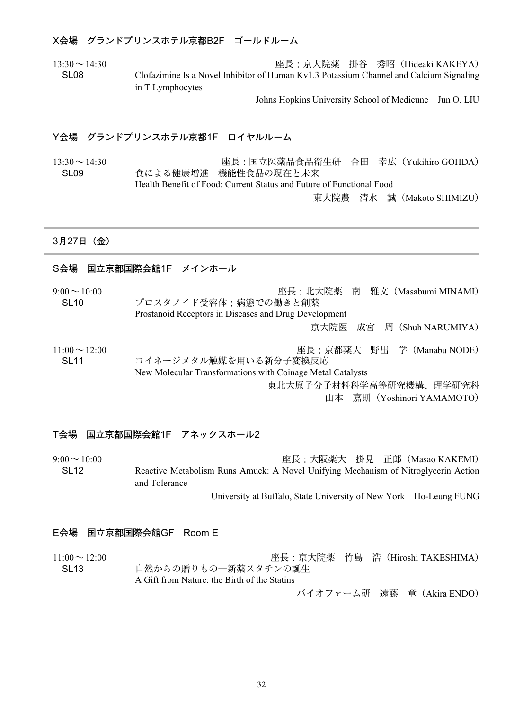#### X会場 グランドプリンスホテル京都B2F ゴールドルーム

13:30~14:30 座長:京大院薬 掛谷 秀昭(Hideaki KAKEYA) SL08 Clofazimine Is a Novel Inhibitor of Human Kv1.3 Potassium Channel and Calcium Signaling in T Lymphocytes

Johns Hopkins University School of Medicune Jun O. LIU

#### Y会場 グランドプリンスホテル京都1F ロイヤルルーム

13:30~14:30 座長:国立医薬品食品衛生研 合田 幸広(Yukihiro GOHDA) SL09 食による健康増進―機能性食品の現在と未来 Health Benefit of Food: Current Status and Future of Functional Food

東大院農 清水 誠(Makoto SHIMIZU)

#### 3月27日(金)

## S会場 国立京都国際会館1F メインホール

| $9:00 \sim 10:00$  | 座長:北大院薬 南 雅文 (Masabumi MINAMI)                             |
|--------------------|------------------------------------------------------------|
| SL <sub>10</sub>   | プロスタノイド受容体;病態での働きと創薬                                       |
|                    | Prostanoid Receptors in Diseases and Drug Development      |
|                    | 京大院医 成宮 周 (Shuh NARUMIYA)                                  |
| $11:00 \sim 12:00$ | 座長:京都薬大 野出 学 (Manabu NODE)                                 |
| SL <sub>11</sub>   | コイネージメタル触媒を用いる新分子変換反応                                      |
|                    | New Molecular Transformations with Coinage Metal Catalysts |
|                    | 東北大原子分子材料科学高等研究機構、理学研究科                                    |
|                    | 山本 嘉則 (Yoshinori YAMAMOTO)                                 |

#### T会場 国立京都国際会館1F アネックスホール2

9:00~10:00 座長:大阪薬大 掛見 正郎(Masao KAKEMI) SL12 Reactive Metabolism Runs Amuck: A Novel Unifying Mechanism of Nitroglycerin Action and Tolerance

University at Buffalo, State University of New York Ho-Leung FUNG

#### E会場 国立京都国際会館GF Room E

11:00~12:00 座長:京大院薬 竹島 浩(Hiroshi TAKESHIMA) SL13 自然からの贈りもの一新薬スタチンの誕生 A Gift from Nature: the Birth of the Statins

バイオファーム研 遠藤 章(Akira ENDO)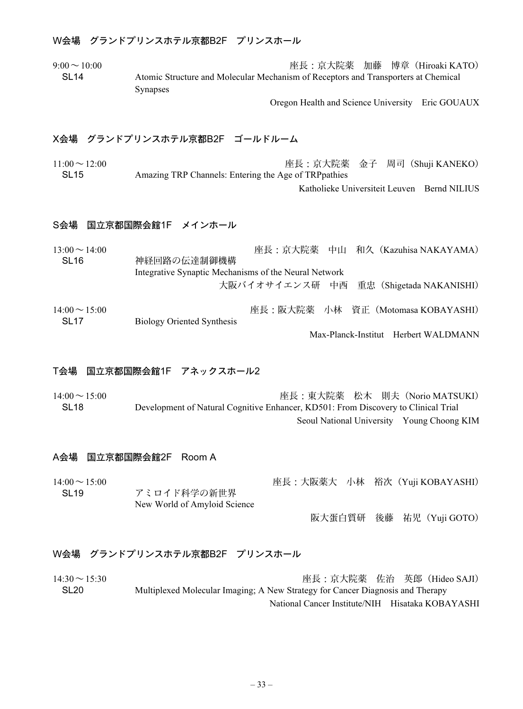## W会場 グランドプリンスホテル京都B2F プリンスホール

9:00~10:00 座長:京大院薬 加藤 博章(Hiroaki KATO) SL14 Atomic Structure and Molecular Mechanism of Receptors and Transporters at Chemical Synapses

Oregon Health and Science University Eric GOUAUX

## X会場 グランドプリンスホテル京都B2F ゴールドルーム

11:00~12:00 座長:京大院薬 金子 周司(Shuji KANEKO) SL15 Amazing TRP Channels: Entering the Age of TRPpathies

## Katholieke Universiteit Leuven Bernd NILIUS

### S会場 国立京都国際会館1F メインホール

| $13:00 \sim 14:00$ | 座長:京大院薬 中山 和久 (Kazuhisa NAKAYAMA)                     |
|--------------------|-------------------------------------------------------|
| SL <sub>16</sub>   | 神経回路の伝達制御機構                                           |
|                    | Integrative Synaptic Mechanisms of the Neural Network |
|                    | 大阪バイオサイエンス研 中西 重忠 (Shigetada NAKANISHI)               |
| $14:00 \sim 15:00$ | 座長:阪大院薬 小林 資正 (Motomasa KOBAYASHI)                    |
| SL <sub>17</sub>   | <b>Biology Oriented Synthesis</b>                     |

Max-Planck-Institut Herbert WALDMANN

#### T会場 国立京都国際会館1F アネックスホール2

14:00~15:00 座長:東大院薬 松木 則夫(Norio MATSUKI) SL18 Development of Natural Cognitive Enhancer, KD501: From Discovery to Clinical Trial Seoul National University Young Choong KIM

#### A会場 国立京都国際会館2F Room A

14:00~15:00 座長:大阪薬大 小林 裕次(Yuji KOBAYASHI) SL19 アミロイド科学の新世界 New World of Amyloid Science

阪大蛋白質研 後藤 祐児(Yuji GOTO)

#### W会場 グランドプリンスホテル京都B2F プリンスホール

14:30~15:30 座長:京大院薬 佐治 英郎(Hideo SAJI) SL20 Multiplexed Molecular Imaging; A New Strategy for Cancer Diagnosis and Therapy National Cancer Institute/NIH Hisataka KOBAYASHI